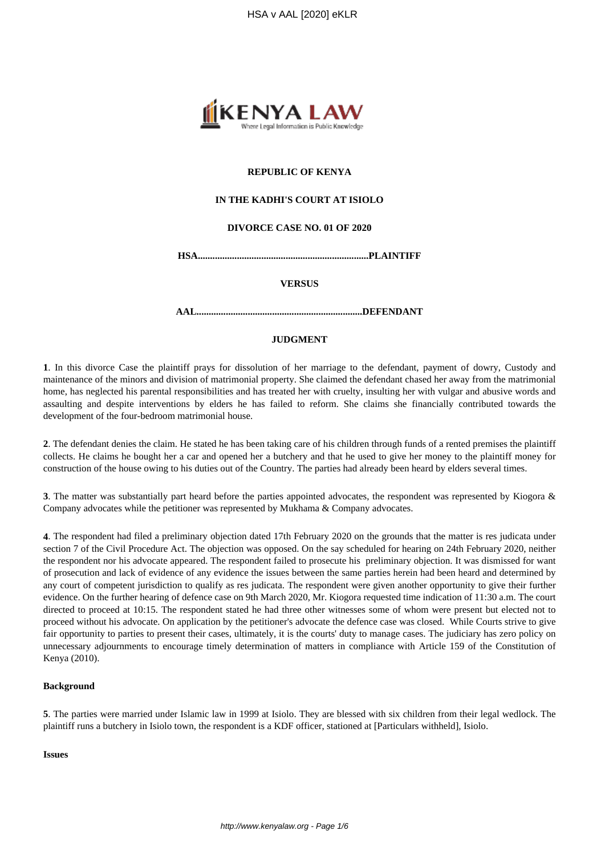

## **REPUBLIC OF KENYA**

## **IN THE KADHI'S COURT AT ISIOLO**

## **DIVORCE CASE NO. 01 OF 2020**

**HSA......................................................................PLAINTIFF**

#### **VERSUS**

**AAL....................................................................DEFENDANT**

## **JUDGMENT**

**1**. In this divorce Case the plaintiff prays for dissolution of her marriage to the defendant, payment of dowry, Custody and maintenance of the minors and division of matrimonial property. She claimed the defendant chased her away from the matrimonial home, has neglected his parental responsibilities and has treated her with cruelty, insulting her with vulgar and abusive words and assaulting and despite interventions by elders he has failed to reform. She claims she financially contributed towards the development of the four-bedroom matrimonial house.

**2**. The defendant denies the claim. He stated he has been taking care of his children through funds of a rented premises the plaintiff collects. He claims he bought her a car and opened her a butchery and that he used to give her money to the plaintiff money for construction of the house owing to his duties out of the Country. The parties had already been heard by elders several times.

**3**. The matter was substantially part heard before the parties appointed advocates, the respondent was represented by Kiogora & Company advocates while the petitioner was represented by Mukhama & Company advocates.

**4**. The respondent had filed a preliminary objection dated 17th February 2020 on the grounds that the matter is res judicata under section 7 of the Civil Procedure Act. The objection was opposed. On the say scheduled for hearing on 24th February 2020, neither the respondent nor his advocate appeared. The respondent failed to prosecute his preliminary objection. It was dismissed for want of prosecution and lack of evidence of any evidence the issues between the same parties herein had been heard and determined by any court of competent jurisdiction to qualify as res judicata. The respondent were given another opportunity to give their further evidence. On the further hearing of defence case on 9th March 2020, Mr. Kiogora requested time indication of 11:30 a.m. The court directed to proceed at 10:15. The respondent stated he had three other witnesses some of whom were present but elected not to proceed without his advocate. On application by the petitioner's advocate the defence case was closed. While Courts strive to give fair opportunity to parties to present their cases, ultimately, it is the courts' duty to manage cases. The judiciary has zero policy on unnecessary adjournments to encourage timely determination of matters in compliance with Article 159 of the Constitution of Kenya (2010).

#### **Background**

**5**. The parties were married under Islamic law in 1999 at Isiolo. They are blessed with six children from their legal wedlock. The plaintiff runs a butchery in Isiolo town, the respondent is a KDF officer, stationed at [Particulars withheld], Isiolo.

#### **Issues**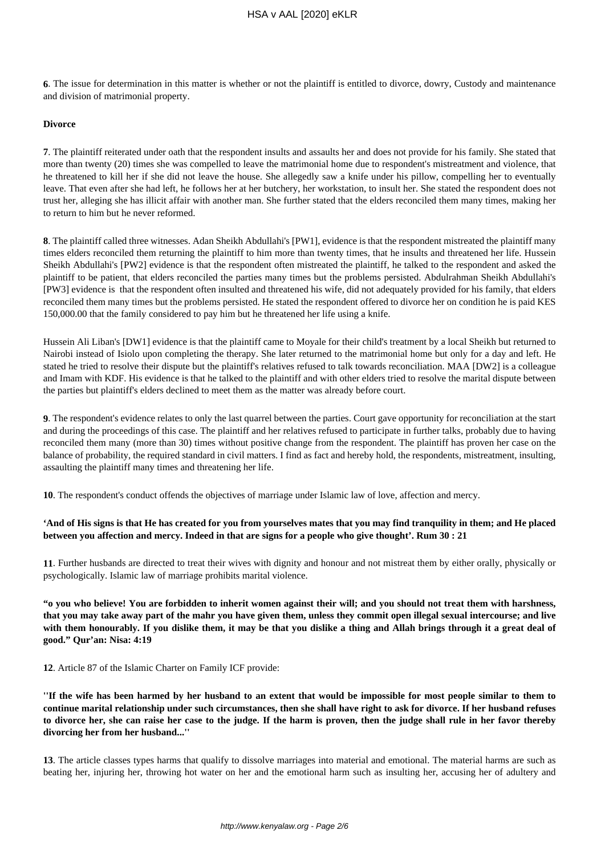**6**. The issue for determination in this matter is whether or not the plaintiff is entitled to divorce, dowry, Custody and maintenance and division of matrimonial property.

## **Divorce**

**7**. The plaintiff reiterated under oath that the respondent insults and assaults her and does not provide for his family. She stated that more than twenty (20) times she was compelled to leave the matrimonial home due to respondent's mistreatment and violence, that he threatened to kill her if she did not leave the house. She allegedly saw a knife under his pillow, compelling her to eventually leave. That even after she had left, he follows her at her butchery, her workstation, to insult her. She stated the respondent does not trust her, alleging she has illicit affair with another man. She further stated that the elders reconciled them many times, making her to return to him but he never reformed.

**8**. The plaintiff called three witnesses. Adan Sheikh Abdullahi's [PW1], evidence is that the respondent mistreated the plaintiff many times elders reconciled them returning the plaintiff to him more than twenty times, that he insults and threatened her life. Hussein Sheikh Abdullahi's [PW2] evidence is that the respondent often mistreated the plaintiff, he talked to the respondent and asked the plaintiff to be patient, that elders reconciled the parties many times but the problems persisted. Abdulrahman Sheikh Abdullahi's [PW3] evidence is that the respondent often insulted and threatened his wife, did not adequately provided for his family, that elders reconciled them many times but the problems persisted. He stated the respondent offered to divorce her on condition he is paid KES 150,000.00 that the family considered to pay him but he threatened her life using a knife.

Hussein Ali Liban's [DW1] evidence is that the plaintiff came to Moyale for their child's treatment by a local Sheikh but returned to Nairobi instead of Isiolo upon completing the therapy. She later returned to the matrimonial home but only for a day and left. He stated he tried to resolve their dispute but the plaintiff's relatives refused to talk towards reconciliation. MAA [DW2] is a colleague and Imam with KDF. His evidence is that he talked to the plaintiff and with other elders tried to resolve the marital dispute between the parties but plaintiff's elders declined to meet them as the matter was already before court.

**9**. The respondent's evidence relates to only the last quarrel between the parties. Court gave opportunity for reconciliation at the start and during the proceedings of this case. The plaintiff and her relatives refused to participate in further talks, probably due to having reconciled them many (more than 30) times without positive change from the respondent. The plaintiff has proven her case on the balance of probability, the required standard in civil matters. I find as fact and hereby hold, the respondents, mistreatment, insulting, assaulting the plaintiff many times and threatening her life.

**10**. The respondent's conduct offends the objectives of marriage under Islamic law of love, affection and mercy.

## **'And of His signs is that He has created for you from yourselves mates that you may find tranquility in them; and He placed between you affection and mercy. Indeed in that are signs for a people who give thought'. Rum 30 : 21**

**11**. Further husbands are directed to treat their wives with dignity and honour and not mistreat them by either orally, physically or psychologically. Islamic law of marriage prohibits marital violence.

**"o you who believe! You are forbidden to inherit women against their will; and you should not treat them with harshness, that you may take away part of the mahr you have given them, unless they commit open illegal sexual intercourse; and live with them honourably. If you dislike them, it may be that you dislike a thing and Allah brings through it a great deal of good." Qur'an: Nisa: 4:19**

**12**. Article 87 of the Islamic Charter on Family ICF provide:

**''If the wife has been harmed by her husband to an extent that would be impossible for most people similar to them to continue marital relationship under such circumstances, then she shall have right to ask for divorce. If her husband refuses to divorce her, she can raise her case to the judge. If the harm is proven, then the judge shall rule in her favor thereby divorcing her from her husband...''** 

**13**. The article classes types harms that qualify to dissolve marriages into material and emotional. The material harms are such as beating her, injuring her, throwing hot water on her and the emotional harm such as insulting her, accusing her of adultery and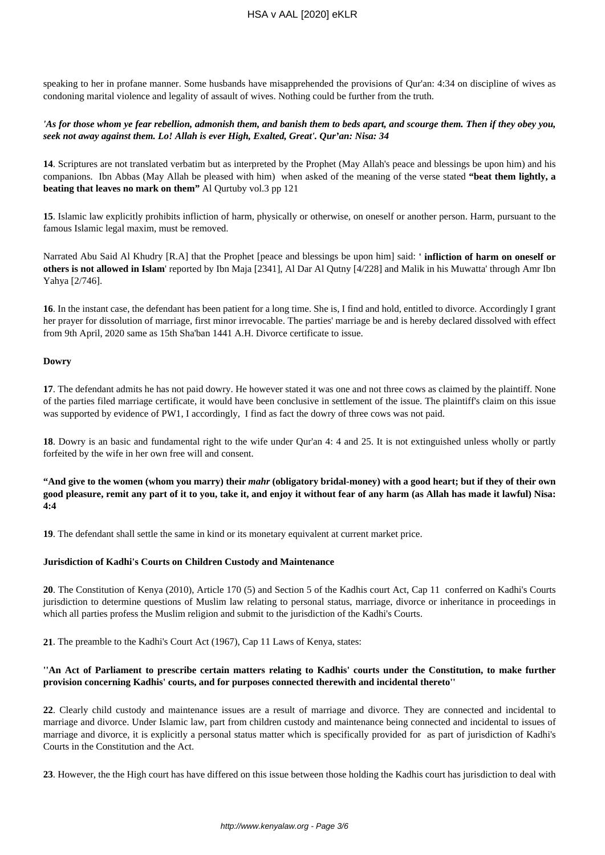speaking to her in profane manner. Some husbands have misapprehended the provisions of Qur'an: 4:34 on discipline of wives as condoning marital violence and legality of assault of wives. Nothing could be further from the truth.

## *'As for those whom ye fear rebellion, admonish them, and banish them to beds apart, and scourge them. Then if they obey you, seek not away against them. Lo! Allah is ever High, Exalted, Great'. Qur'an: Nisa: 34*

**14**. Scriptures are not translated verbatim but as interpreted by the Prophet (May Allah's peace and blessings be upon him) and his companions. Ibn Abbas (May Allah be pleased with him) when asked of the meaning of the verse stated **"beat them lightly, a beating that leaves no mark on them"** Al Qurtuby vol.3 pp 121

**15**. Islamic law explicitly prohibits infliction of harm, physically or otherwise, on oneself or another person. Harm, pursuant to the famous Islamic legal maxim, must be removed.

Narrated Abu Said Al Khudry [R.A] that the Prophet [peace and blessings be upon him] said: **' infliction of harm on oneself or others is not allowed in Islam**' reported by Ibn Maja [2341], Al Dar Al Qutny [4/228] and Malik in his Muwatta' through Amr Ibn Yahya [2/746].

**16**. In the instant case, the defendant has been patient for a long time. She is, I find and hold, entitled to divorce. Accordingly I grant her prayer for dissolution of marriage, first minor irrevocable. The parties' marriage be and is hereby declared dissolved with effect from 9th April, 2020 same as 15th Sha'ban 1441 A.H. Divorce certificate to issue.

# **Dowry**

**17**. The defendant admits he has not paid dowry. He however stated it was one and not three cows as claimed by the plaintiff. None of the parties filed marriage certificate, it would have been conclusive in settlement of the issue. The plaintiff's claim on this issue was supported by evidence of PW1, I accordingly, I find as fact the dowry of three cows was not paid.

**18**. Dowry is an basic and fundamental right to the wife under Qur'an 4: 4 and 25. It is not extinguished unless wholly or partly forfeited by the wife in her own free will and consent.

**"And give to the women (whom you marry) their** *mahr* **(obligatory bridal-money) with a good heart; but if they of their own good pleasure, remit any part of it to you, take it, and enjoy it without fear of any harm (as Allah has made it lawful) Nisa: 4:4** 

**19**. The defendant shall settle the same in kind or its monetary equivalent at current market price.

## **Jurisdiction of Kadhi's Courts on Children Custody and Maintenance**

**20**. The Constitution of Kenya (2010), Article 170 (5) and Section 5 of the Kadhis court Act, Cap 11 conferred on Kadhi's Courts jurisdiction to determine questions of Muslim law relating to personal status, marriage, divorce or inheritance in proceedings in which all parties profess the Muslim religion and submit to the jurisdiction of the Kadhi's Courts.

**21**. The preamble to the Kadhi's Court Act (1967), Cap 11 Laws of Kenya, states:

# **''An Act of Parliament to prescribe certain matters relating to Kadhis' courts under the Constitution, to make further provision concerning Kadhis' courts, and for purposes connected therewith and incidental thereto''**

**22**. Clearly child custody and maintenance issues are a result of marriage and divorce. They are connected and incidental to marriage and divorce. Under Islamic law, part from children custody and maintenance being connected and incidental to issues of marriage and divorce, it is explicitly a personal status matter which is specifically provided for as part of jurisdiction of Kadhi's Courts in the Constitution and the Act.

**23**. However, the the High court has have differed on this issue between those holding the Kadhis court has jurisdiction to deal with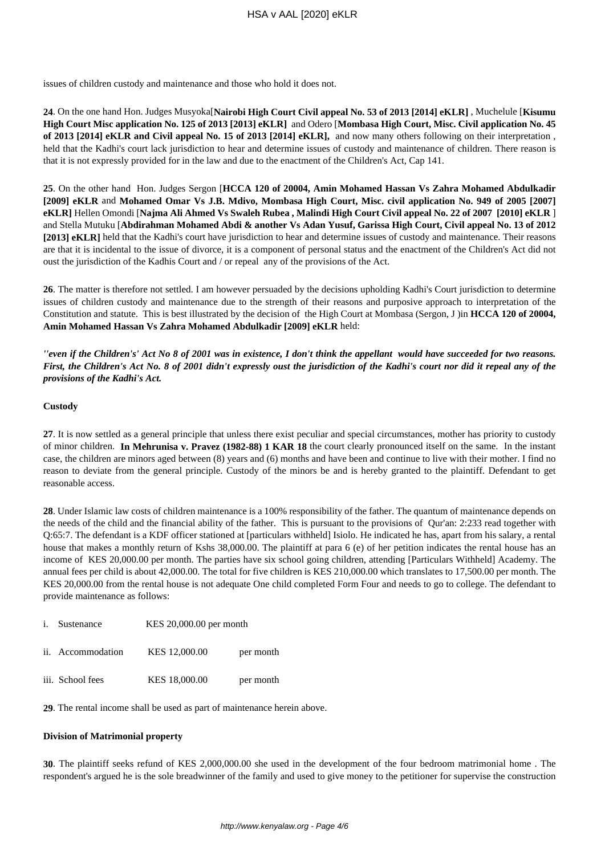issues of children custody and maintenance and those who hold it does not.

**24**. On the one hand Hon. Judges Musyoka[**Nairobi High Court Civil appeal No. 53 of 2013 [2014] eKLR]** , Muchelule [**Kisumu High Court Misc application No. 125 of 2013 [2013] eKLR]** and Odero [**Mombasa High Court, Misc. Civil application No. 45 of 2013 [2014] eKLR and Civil appeal No. 15 of 2013 [2014] eKLR],** and now many others following on their interpretation , held that the Kadhi's court lack jurisdiction to hear and determine issues of custody and maintenance of children. There reason is that it is not expressly provided for in the law and due to the enactment of the Children's Act, Cap 141.

**25**. On the other hand Hon. Judges Sergon [**HCCA 120 of 20004, Amin Mohamed Hassan Vs Zahra Mohamed Abdulkadir [2009] eKLR** and **Mohamed Omar Vs J.B. Mdivo, Mombasa High Court, Misc. civil application No. 949 of 2005 [2007] eKLR]** Hellen Omondi [**Najma Ali Ahmed Vs Swaleh Rubea , Malindi High Court Civil appeal No. 22 of 2007 [2010] eKLR** ] and Stella Mutuku [**Abdirahman Mohamed Abdi & another Vs Adan Yusuf, Garissa High Court, Civil appeal No. 13 of 2012 [2013] eKLR]** held that the Kadhi's court have jurisdiction to hear and determine issues of custody and maintenance. Their reasons are that it is incidental to the issue of divorce, it is a component of personal status and the enactment of the Children's Act did not oust the jurisdiction of the Kadhis Court and / or repeal any of the provisions of the Act.

**26**. The matter is therefore not settled. I am however persuaded by the decisions upholding Kadhi's Court jurisdiction to determine issues of children custody and maintenance due to the strength of their reasons and purposive approach to interpretation of the Constitution and statute. This is best illustrated by the decision of the High Court at Mombasa (Sergon, J )in **HCCA 120 of 20004, Amin Mohamed Hassan Vs Zahra Mohamed Abdulkadir [2009] eKLR** held:

*''even if the Children's' Act No 8 of 2001 was in existence, I don't think the appellant would have succeeded for two reasons. First, the Children's Act No. 8 of 2001 didn't expressly oust the jurisdiction of the Kadhi's court nor did it repeal any of the provisions of the Kadhi's Act.* 

## **Custody**

**27**. It is now settled as a general principle that unless there exist peculiar and special circumstances, mother has priority to custody of minor children. **In Mehrunisa v. Pravez (1982-88) 1 KAR 18** the court clearly pronounced itself on the same. In the instant case, the children are minors aged between (8) years and (6) months and have been and continue to live with their mother. I find no reason to deviate from the general principle. Custody of the minors be and is hereby granted to the plaintiff. Defendant to get reasonable access.

**28**. Under Islamic law costs of children maintenance is a 100% responsibility of the father. The quantum of maintenance depends on the needs of the child and the financial ability of the father. This is pursuant to the provisions of Qur'an: 2:233 read together with Q:65:7. The defendant is a KDF officer stationed at [particulars withheld] Isiolo. He indicated he has, apart from his salary, a rental house that makes a monthly return of Kshs 38,000.00. The plaintiff at para 6 (e) of her petition indicates the rental house has an income of KES 20,000.00 per month. The parties have six school going children, attending [Particulars Withheld] Academy. The annual fees per child is about 42,000.00. The total for five children is KES 210,000.00 which translates to 17,500.00 per month. The KES 20,000.00 from the rental house is not adequate One child completed Form Four and needs to go to college. The defendant to provide maintenance as follows:

|  | Sustenance | KES 20,000.00 per month |
|--|------------|-------------------------|
|--|------------|-------------------------|

| $\cdot$ $\cdot$ | ii. Accommodation | KES 12,000.00 | per month |
|-----------------|-------------------|---------------|-----------|
|-----------------|-------------------|---------------|-----------|

|  | iii. School fees | KES 18,000.00 | per month |
|--|------------------|---------------|-----------|
|--|------------------|---------------|-----------|

**29**. The rental income shall be used as part of maintenance herein above.

#### **Division of Matrimonial property**

**30**. The plaintiff seeks refund of KES 2,000,000.00 she used in the development of the four bedroom matrimonial home . The respondent's argued he is the sole breadwinner of the family and used to give money to the petitioner for supervise the construction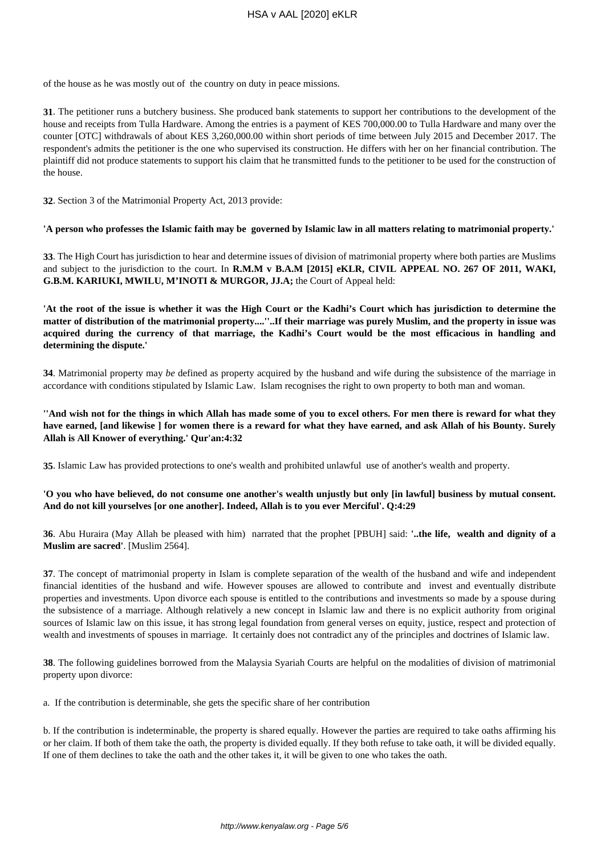of the house as he was mostly out of the country on duty in peace missions.

**31**. The petitioner runs a butchery business. She produced bank statements to support her contributions to the development of the house and receipts from Tulla Hardware. Among the entries is a payment of KES 700,000.00 to Tulla Hardware and many over the counter [OTC] withdrawals of about KES 3,260,000.00 within short periods of time between July 2015 and December 2017. The respondent's admits the petitioner is the one who supervised its construction. He differs with her on her financial contribution. The plaintiff did not produce statements to support his claim that he transmitted funds to the petitioner to be used for the construction of the house.

**32**. Section 3 of the Matrimonial Property Act, 2013 provide:

**'A person who professes the Islamic faith may be governed by Islamic law in all matters relating to matrimonial property.'**

**33**. The High Court has jurisdiction to hear and determine issues of division of matrimonial property where both parties are Muslims and subject to the jurisdiction to the court. In **R.M.M v B.A.M [2015] eKLR, CIVIL APPEAL NO. 267 OF 2011, WAKI, G.B.M. KARIUKI, MWILU, M'INOTI & MURGOR, JJ.A;** the Court of Appeal held:

**'At the root of the issue is whether it was the High Court or the Kadhi's Court which has jurisdiction to determine the matter of distribution of the matrimonial property....''..If their marriage was purely Muslim, and the property in issue was acquired during the currency of that marriage, the Kadhi's Court would be the most efficacious in handling and determining the dispute.'**

**34**. Matrimonial property may *be* defined as property acquired by the husband and wife during the subsistence of the marriage in accordance with conditions stipulated by Islamic Law. Islam recognises the right to own property to both man and woman.

**''And wish not for the things in which Allah has made some of you to excel others. For men there is reward for what they have earned, [and likewise ] for women there is a reward for what they have earned, and ask Allah of his Bounty. Surely Allah is All Knower of everything.' Qur'an:4:32**

**35**. Islamic Law has provided protections to one's wealth and prohibited unlawful use of another's wealth and property.

# **'O you who have believed, do not consume one another's wealth unjustly but only [in lawful] business by mutual consent. And do not kill yourselves [or one another]. Indeed, Allah is to you ever Merciful'. Q:4:29**

**36**. Abu Huraira (May Allah be pleased with him) narrated that the prophet [PBUH] said: **'..the life, wealth and dignity of a Muslim are sacred'**. [Muslim 2564].

**37**. The concept of matrimonial property in Islam is complete separation of the wealth of the husband and wife and independent financial identities of the husband and wife. However spouses are allowed to contribute and invest and eventually distribute properties and investments. Upon divorce each spouse is entitled to the contributions and investments so made by a spouse during the subsistence of a marriage. Although relatively a new concept in Islamic law and there is no explicit authority from original sources of Islamic law on this issue, it has strong legal foundation from general verses on equity, justice, respect and protection of wealth and investments of spouses in marriage. It certainly does not contradict any of the principles and doctrines of Islamic law.

**38**. The following guidelines borrowed from the Malaysia Syariah Courts are helpful on the modalities of division of matrimonial property upon divorce:

a. If the contribution is determinable, she gets the specific share of her contribution

b. If the contribution is indeterminable, the property is shared equally. However the parties are required to take oaths affirming his or her claim. If both of them take the oath, the property is divided equally. If they both refuse to take oath, it will be divided equally. If one of them declines to take the oath and the other takes it, it will be given to one who takes the oath.